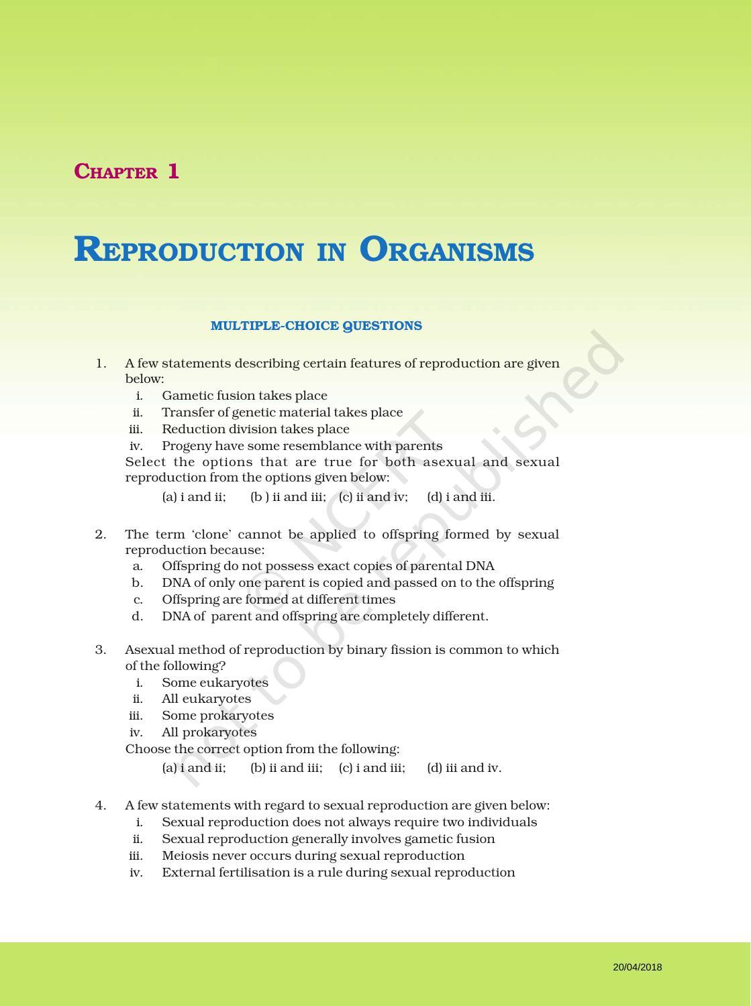## CHAPTER 1

# REPRODUCTION IN ORGANISMS

#### MULTIPLE-CHOICE QUESTIONS

- 1. A few statements describing certain features of reproduction are given below:
	- i. Gametic fusion takes place
	- ii. Transfer of genetic material takes place
	- iii. Reduction division takes place
	- iv. Progeny have some resemblance with parents

Select the options that are true for both asexual and sexual reproduction from the options given below:

(a)  $i$  and  $ii$ ; (b)  $ii$  and  $iii$ ; (c)  $ii$  and  $iv$ ; (d)  $i$  and  $iii$ .

- 2. The term 'clone' cannot be applied to offspring formed by sexual reproduction because:
	- a. Offspring do not possess exact copies of parental DNA
	- b. DNA of only one parent is copied and passed on to the offspring
	- c. Offspring are formed at different times
	- d. DNA of parent and offspring are completely different.
- 3. Asexual method of reproduction by binary fission is common to which of the following?
	- i. Some eukaryotes
	- ii. All eukaryotes
	- iii. Some prokaryotes
	- iv. All prokaryotes

Choose the correct option from the following:

(a) i and ii; (b) ii and iii; (c) i and iii; (d) iii and iv.

- 4. A few statements with regard to sexual reproduction are given below:
	- i. Sexual reproduction does not always require two individuals
	- ii. Sexual reproduction generally involves gametic fusion
	- iii. Meiosis never occurs during sexual reproduction
	- iv. External fertilisation is a rule during sexual reproduction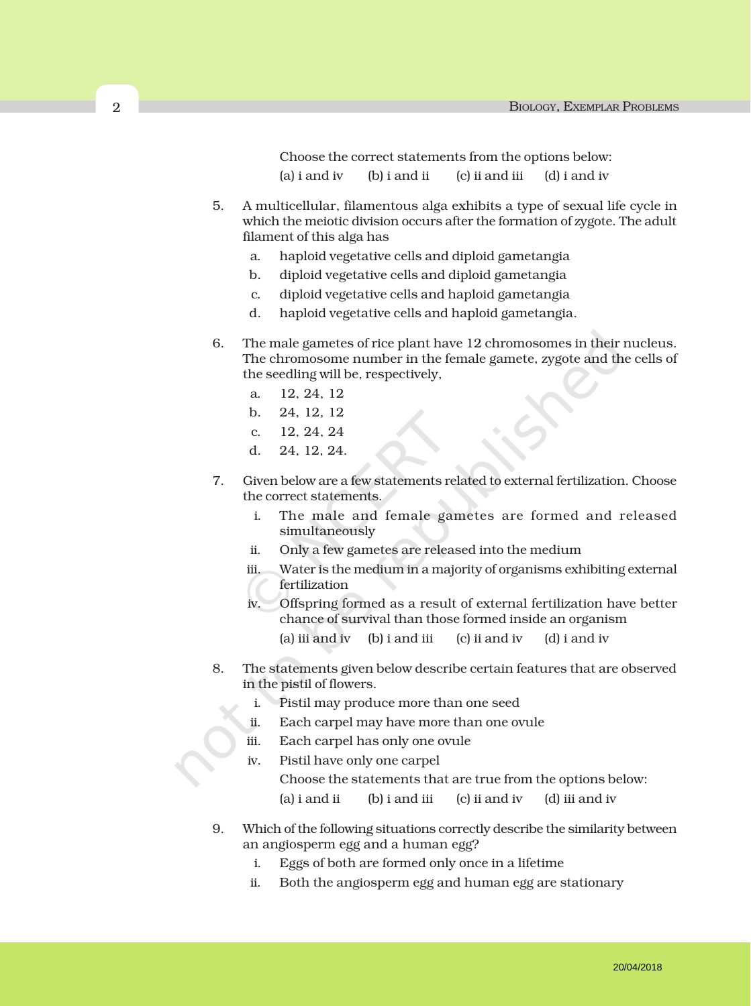Choose the correct statements from the options below:

- (a) i and iv (b) i and ii (c) ii and iii (d) i and iv
- 5. A multicellular, filamentous alga exhibits a type of sexual life cycle in which the meiotic division occurs after the formation of zygote. The adult filament of this alga has
	- a. haploid vegetative cells and diploid gametangia
	- b. diploid vegetative cells and diploid gametangia
	- c. diploid vegetative cells and haploid gametangia
	- d. haploid vegetative cells and haploid gametangia.
- 6. The male gametes of rice plant have 12 chromosomes in their nucleus. The chromosome number in the female gamete, zygote and the cells of the seedling will be, respectively,
	- a. 12, 24, 12
	- b. 24, 12, 12
	- c. 12, 24, 24
	- d. 24, 12, 24.
- 7. Given below are a few statements related to external fertilization. Choose the correct statements.
	- i. The male and female gametes are formed and released simultaneously
	- ii. Only a few gametes are released into the medium
	- iii. Water is the medium in a majority of organisms exhibiting external fertilization
	- iv. Offspring formed as a result of external fertilization have better chance of survival than those formed inside an organism
		- (a) iii and iv (b) i and iii (c) ii and iv (d) i and iv
- 8. The statements given below describe certain features that are observed in the pistil of flowers.
	- i. Pistil may produce more than one seed
	- ii. Each carpel may have more than one ovule
	- iii. Each carpel has only one ovule
	- iv. Pistil have only one carpel Choose the statements that are true from the options below: (a) i and ii  $\qquad$  (b) i and iii (c) ii and iv (d) iii and iv
- 9. Which of the following situations correctly describe the similarity between an angiosperm egg and a human egg?
	- i. Eggs of both are formed only once in a lifetime
	- ii. Both the angiosperm egg and human egg are stationary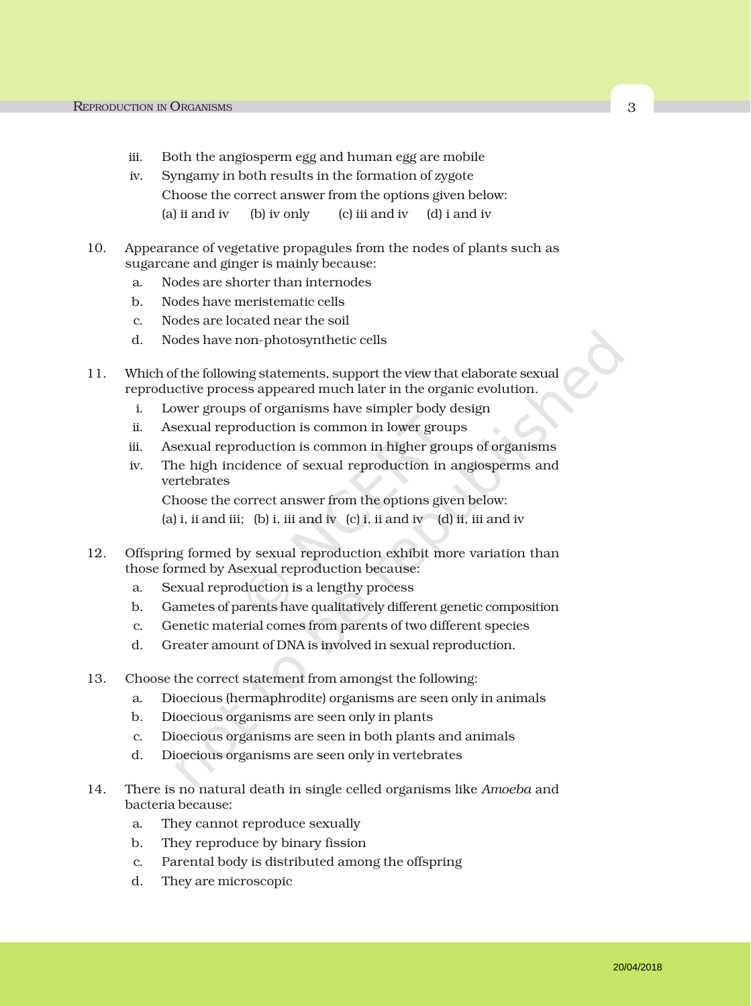- iii. Both the angiosperm egg and human egg are mobile
- iv. Syngamy in both results in the formation of zygote Choose the correct answer from the options given below: (a) ii and iv (b) iv only (c) iii and iv  $(d)$  i and iv
- 10. Appearance of vegetative propagules from the nodes of plants such as sugarcane and ginger is mainly because:
	- a. Nodes are shorter than internodes
	- b. Nodes have meristematic cells
	- c. Nodes are located near the soil
	- d. Nodes have non-photosynthetic cells
- 11. Which of the following statements, support the view that elaborate sexual reproductive process appeared much later in the organic evolution.
	- i. Lower groups of organisms have simpler body design
	- ii. Asexual reproduction is common in lower groups
	- iii. Asexual reproduction is common in higher groups of organisms
	- iv. The high incidence of sexual reproduction in angiosperms and vertebrates

Choose the correct answer from the options given below: (a) i, ii and iii; (b) i, iii and iv (c) i, ii and iv (d) ii, iii and iv

- 12. Offspring formed by sexual reproduction exhibit more variation than those formed by Asexual reproduction because:
	- a. Sexual reproduction is a lengthy process
	- b. Gametes of parents have qualitatively different genetic composition
	- c. Genetic material comes from parents of two different species
	- d. Greater amount of DNA is involved in sexual reproduction.
- 13. Choose the correct statement from amongst the following:
	- a. Dioecious (hermaphrodite) organisms are seen only in animals
	- b. Dioecious organisms are seen only in plants
	- c. Dioecious organisms are seen in both plants and animals
	- d. Dioecious organisms are seen only in vertebrates
- 14. There is no natural death in single celled organisms like *Amoeba* and bacteria because:
	- a. They cannot reproduce sexually
	- b. They reproduce by binary fission
	- c. Parental body is distributed among the offspring
	- d. They are microscopic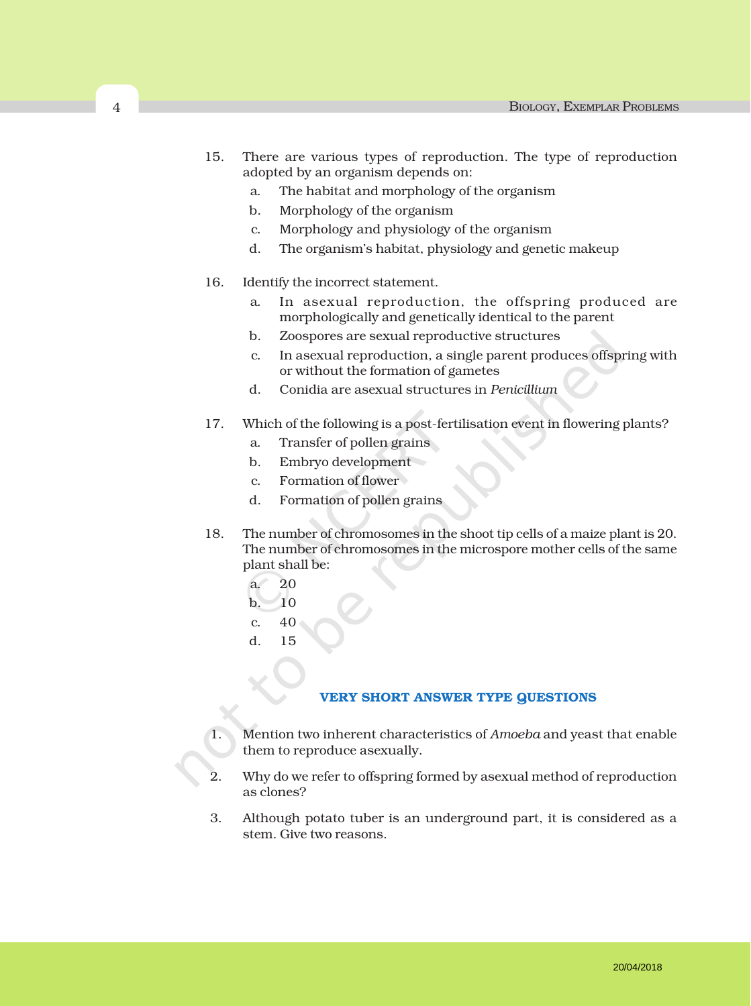- 15. There are various types of reproduction. The type of reproduction adopted by an organism depends on:
	- a. The habitat and morphology of the organism
	- b. Morphology of the organism
	- c. Morphology and physiology of the organism
	- d. The organism's habitat, physiology and genetic makeup
- 16. Identify the incorrect statement.
	- a. In asexual reproduction, the offspring produced are morphologically and genetically identical to the parent
	- b. Zoospores are sexual reproductive structures
	- c. In asexual reproduction, a single parent produces offspring with or without the formation of gametes
	- d. Conidia are asexual structures in *Penicillium*
- 17. Which of the following is a post-fertilisation event in flowering plants?
	- a. Transfer of pollen grains
	- b. Embryo development
	- c. Formation of flower
	- d. Formation of pollen grains
- 18. The number of chromosomes in the shoot tip cells of a maize plant is 20. The number of chromosomes in the microspore mother cells of the same plant shall be:
	- a. 20
	- $b. 10$
	- c. 40
	- d. 15

#### VERY SHORT ANSWER TYPE QUESTIONS

- 1. Mention two inherent characteristics of *Amoeba* and yeast that enable them to reproduce asexually.
- 2. Why do we refer to offspring formed by asexual method of reproduction as clones?
- 3. Although potato tuber is an underground part, it is considered as a stem. Give two reasons.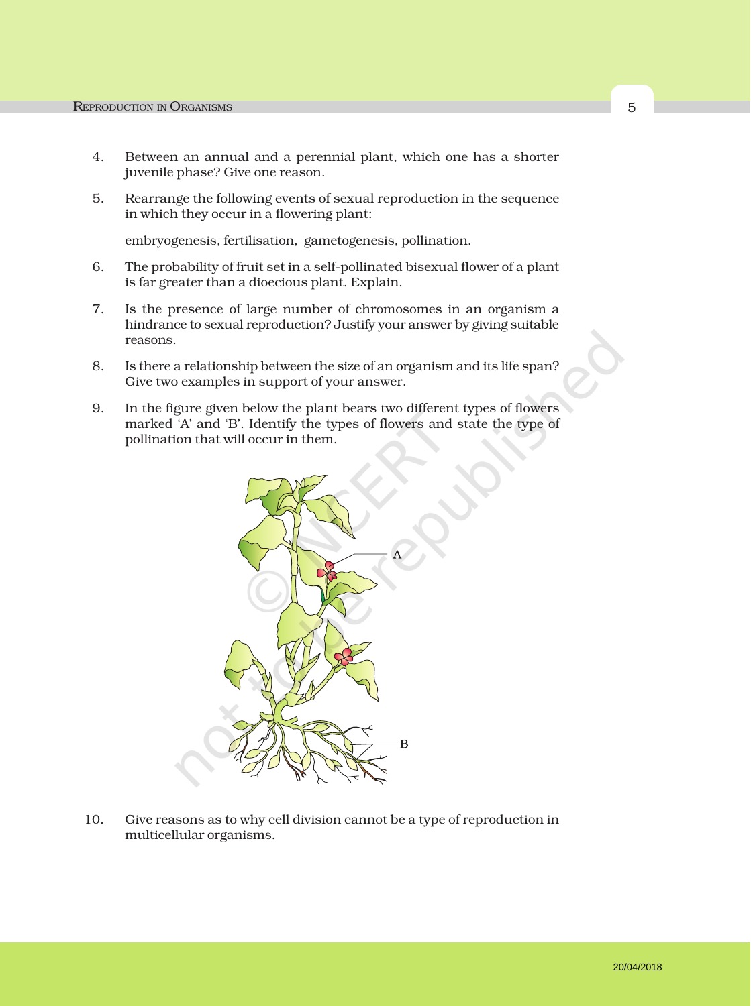- 4. Between an annual and a perennial plant, which one has a shorter juvenile phase? Give one reason.
- 5. Rearrange the following events of sexual reproduction in the sequence in which they occur in a flowering plant:

embryogenesis, fertilisation, gametogenesis, pollination.

- 6. The probability of fruit set in a self-pollinated bisexual flower of a plant is far greater than a dioecious plant. Explain.
- 7. Is the presence of large number of chromosomes in an organism a hindrance to sexual reproduction? Justify your answer by giving suitable reasons.
- 8. Is there a relationship between the size of an organism and its life span? Give two examples in support of your answer.
- 9. In the figure given below the plant bears two different types of flowers marked 'A' and 'B'. Identify the types of flowers and state the type of pollination that will occur in them.



10. Give reasons as to why cell division cannot be a type of reproduction in multicellular organisms.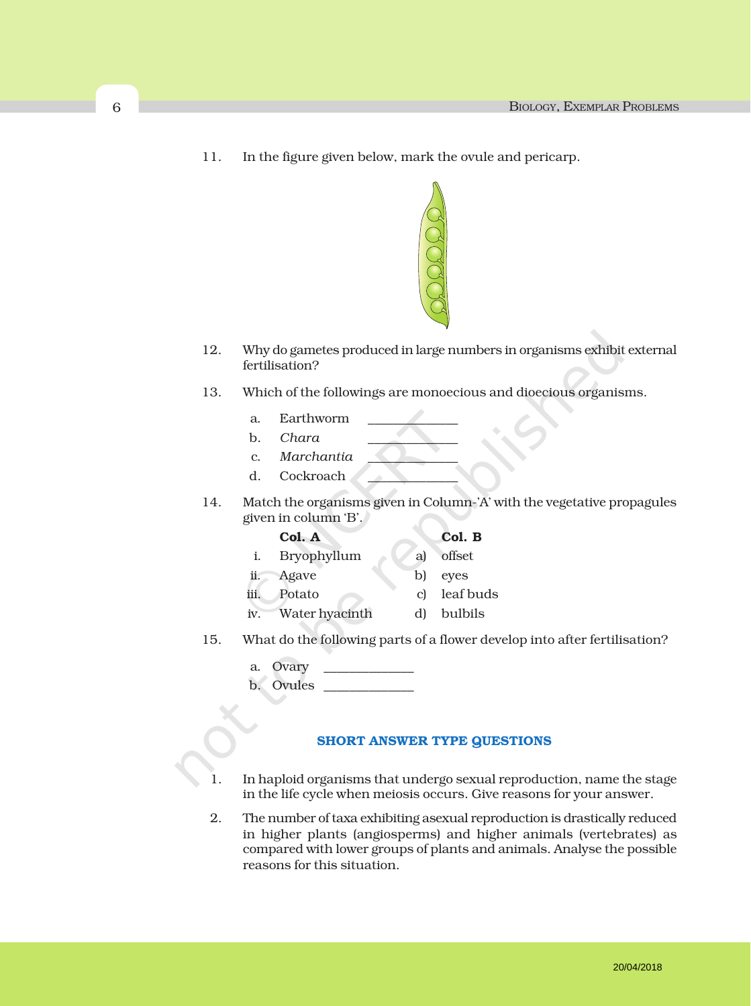11. In the figure given below, mark the ovule and pericarp.



- 12. Why do gametes produced in large numbers in organisms exhibit external fertilisation?
- 13. Which of the followings are monoecious and dioecious organisms.
	- a. Earthworm
	- b. *Chara* \_\_\_\_\_\_\_\_\_\_\_\_\_\_
	- c. *Marchantia* \_\_\_\_\_\_\_\_\_\_\_\_\_\_
	- d. Cockroach
- 14. Match the organisms given in Column-'A' with the vegetative propagules given in column 'B'.

#### Col. A Col. B

- i. Bryophyllum a) offset ii. Agave b) eyes
- 
- iii. Potato c) leaf buds
- iv. Water hyacinth d) bulbils
- 15. What do the following parts of a flower develop into after fertilisation?
	- a. Ovary
	- b. Ovules

#### SHORT ANSWER TYPE QUESTIONS

- 1. In haploid organisms that undergo sexual reproduction, name the stage in the life cycle when meiosis occurs. Give reasons for your answer.
- 2. The number of taxa exhibiting asexual reproduction is drastically reduced in higher plants (angiosperms) and higher animals (vertebrates) as compared with lower groups of plants and animals. Analyse the possible reasons for this situation.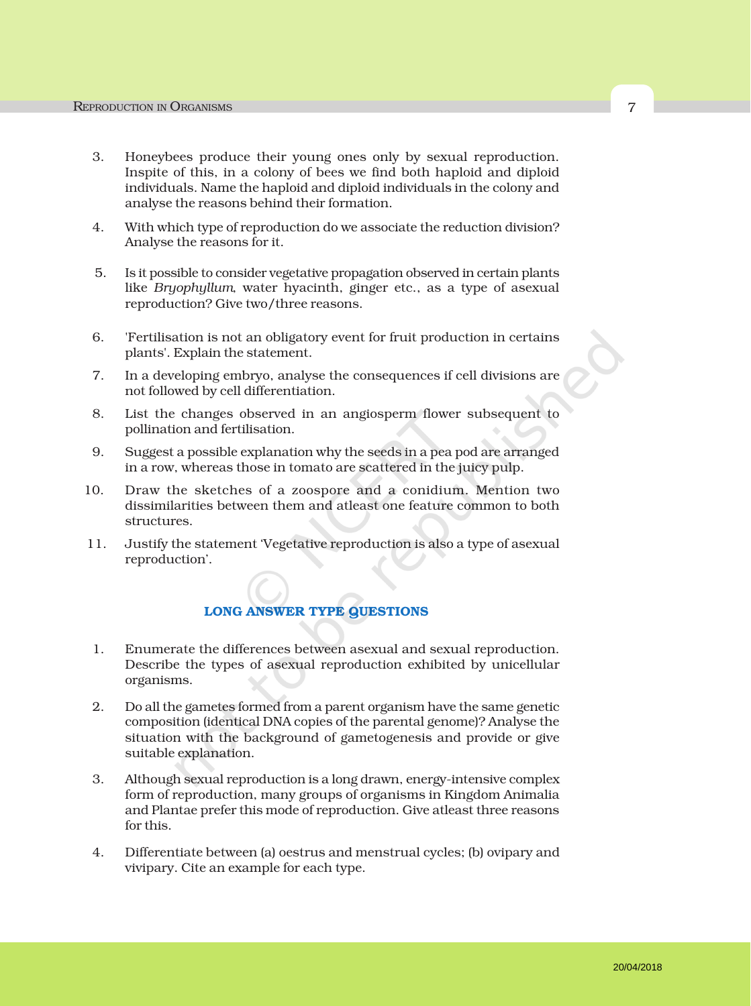- 3. Honeybees produce their young ones only by sexual reproduction. Inspite of this, in a colony of bees we find both haploid and diploid individuals. Name the haploid and diploid individuals in the colony and analyse the reasons behind their formation.
- 4. With which type of reproduction do we associate the reduction division? Analyse the reasons for it.
- 5. Is it possible to consider vegetative propagation observed in certain plants like *Bryophyllum*, water hyacinth, ginger etc., as a type of asexual reproduction? Give two/three reasons.
- 6. 'Fertilisation is not an obligatory event for fruit production in certains plants'. Explain the statement.
- 7. In a developing embryo, analyse the consequences if cell divisions are not followed by cell differentiation.
- 8. List the changes observed in an angiosperm flower subsequent to pollination and fertilisation.
- 9. Suggest a possible explanation why the seeds in a pea pod are arranged in a row, whereas those in tomato are scattered in the juicy pulp.
- 10. Draw the sketches of a zoospore and a conidium. Mention two dissimilarities between them and atleast one feature common to both structures.
- 11. Justify the statement 'Vegetative reproduction is also a type of asexual reproduction'.

### LONG ANSWER TYPE QUESTIONS

- 1. Enumerate the differences between asexual and sexual reproduction. Describe the types of asexual reproduction exhibited by unicellular organisms.
- 2. Do all the gametes formed from a parent organism have the same genetic composition (identical DNA copies of the parental genome)? Analyse the situation with the background of gametogenesis and provide or give suitable explanation.
- 3. Although sexual reproduction is a long drawn, energy-intensive complex form of reproduction, many groups of organisms in Kingdom Animalia and Plantae prefer this mode of reproduction. Give atleast three reasons for this.
- 4. Differentiate between (a) oestrus and menstrual cycles; (b) ovipary and vivipary. Cite an example for each type.